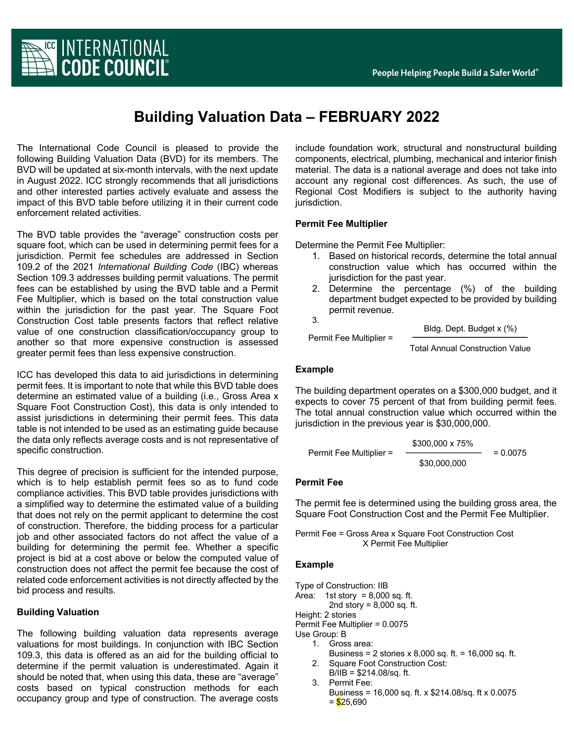

# **Building Valuation Data – FEBRUARY 2022**

The International Code Council is pleased to provide the following Building Valuation Data (BVD) for its members. The BVD will be updated at six-month intervals, with the next update in August 2022. ICC strongly recommends that all jurisdictions and other interested parties actively evaluate and assess the impact of this BVD table before utilizing it in their current code enforcement related activities.

The BVD table provides the "average" construction costs per square foot, which can be used in determining permit fees for a jurisdiction. Permit fee schedules are addressed in Section 109.2 of the 2021 *International Building Code* (IBC) whereas Section 109.3 addresses building permit valuations. The permit fees can be established by using the BVD table and a Permit Fee Multiplier, which is based on the total construction value within the jurisdiction for the past year. The Square Foot Construction Cost table presents factors that reflect relative value of one construction classification/occupancy group to another so that more expensive construction is assessed greater permit fees than less expensive construction.

ICC has developed this data to aid jurisdictions in determining permit fees. It is important to note that while this BVD table does determine an estimated value of a building (i.e., Gross Area x Square Foot Construction Cost), this data is only intended to assist jurisdictions in determining their permit fees. This data table is not intended to be used as an estimating guide because the data only reflects average costs and is not representative of specific construction.

This degree of precision is sufficient for the intended purpose, which is to help establish permit fees so as to fund code compliance activities. This BVD table provides jurisdictions with a simplified way to determine the estimated value of a building that does not rely on the permit applicant to determine the cost of construction. Therefore, the bidding process for a particular job and other associated factors do not affect the value of a building for determining the permit fee. Whether a specific project is bid at a cost above or below the computed value of construction does not affect the permit fee because the cost of related code enforcement activities is not directly affected by the bid process and results.

### **Building Valuation**

The following building valuation data represents average valuations for most buildings. In conjunction with IBC Section 109.3, this data is offered as an aid for the building official to determine if the permit valuation is underestimated. Again it should be noted that, when using this data, these are "average" costs based on typical construction methods for each occupancy group and type of construction. The average costs

include foundation work, structural and nonstructural building components, electrical, plumbing, mechanical and interior finish material. The data is a national average and does not take into account any regional cost differences. As such, the use of Regional Cost Modifiers is subject to the authority having jurisdiction.

## **Permit Fee Multiplier**

Permit Fee Multiplier =

Determine the Permit Fee Multiplier:

- 1. Based on historical records, determine the total annual construction value which has occurred within the jurisdiction for the past year.
- 2. Determine the percentage (%) of the building department budget expected to be provided by building permit revenue.

3.

Bldg. Dept. Budget x (%)

Total Annual Construction Value

### **Example**

The building department operates on a \$300,000 budget, and it expects to cover 75 percent of that from building permit fees. The total annual construction value which occurred within the jurisdiction in the previous year is \$30,000,000.

Permit Free Multiplier = 
$$
\frac{$300,000 \times 75\%}{$30,000,000} = 0.0075
$$

### **Permit Fee**

The permit fee is determined using the building gross area, the Square Foot Construction Cost and the Permit Fee Multiplier.

Permit Fee = Gross Area x Square Foot Construction Cost X Permit Fee Multiplier

### **Example**

Type of Construction: IIB Area: 1st story =  $8,000$  sq. ft. 2nd story =  $8,000$  sq. ft. Height: 2 stories Permit Fee Multiplier = 0.0075 Use Group: B 1. Gross area: Business =  $2$  stories x 8,000 sq. ft. = 16,000 sq. ft. 2. Square Foot Construction Cost:  $B/IB = $214.08/sq$ . ft. 3. Permit Fee:

Business = 16,000 sq. ft. x \$214.08/sq. ft x 0.0075  $=$  \$25,690